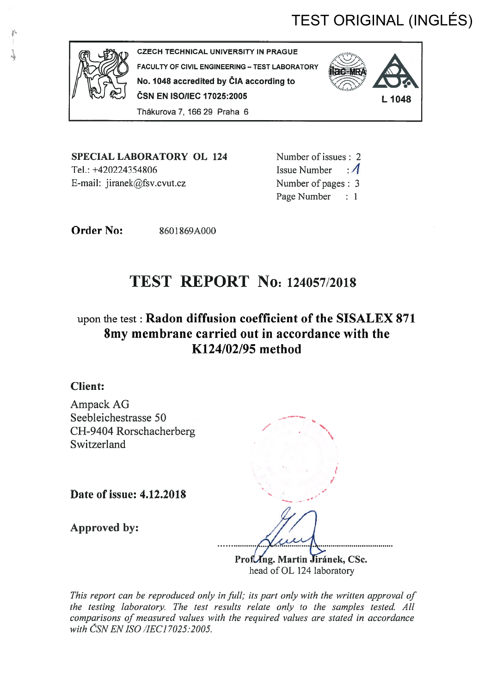# TEST ORIGINAL (INGLÉS)



CZECH TECHNICAL UNIVERSITY IN PRAGUE FACULTY OF CIVIL ENGINEERING — TEST LABORATORY No. <sup>1048</sup> accredited by ÖIA according to ČSN EN ISO/IEC 17025:2005 L 1048 Thäkurova7, 16629 Praha 6



SPECIAL LABORATORY OL 124 Tel.: +420224354806 E-mail: jiranek@fsv.cvut.cz

Number of issues: 2 Issue Number  $\cdot$  4 Number of pages: 3 Page Number : 1

**Order No:** 8601869A000

# TEST REPORT NO: 124057/2018

# upon the test : Radon diffusion coefficient of the SISALEX 871 8my membrane carried out in accordance with the K124/02/95 method

## Client:

Ampack AG Seebleichestrasse 50 CH-9404 Rorschacherberg / Switzerland

Date of issue: 4.12.2018

Approved by:

 1. 1 /

Prof *Ing. Martin Jiránek*, CSc. head of OL 124 laboratory

This report can be reproduced only in full; its part only with the written approval of the testing laboratory. The test results relate only to the samples tested. All comparisons of measured values with the required values are stated in accordance with CSN EN ISO /IEC17025:2005.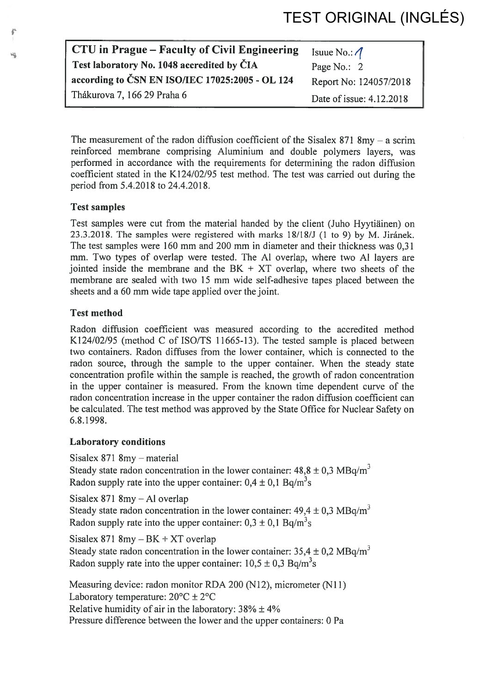| CTU in Prague – Faculty of Civil Engineering    | Isuue No.: $\Lambda$     |
|-------------------------------------------------|--------------------------|
| Test laboratory No. 1048 accredited by ČIA      | Page No.: 2              |
| according to ČSN EN ISO/IEC 17025:2005 - OL 124 | Report No: 124057/2018   |
| Thákurova 7, 166 29 Praha 6                     | Date of issue: 4.12.2018 |

The measurement of the radon diffusion coefficient of the Sisalex 871 8my  $-$  a scrim reinforced membrane comprising Aluminium and double polymers layers, was performed in accordance with the requirements for determining the radon diffusion coefficient stated in the K124/02/95 test method. The test was carried out during the period from 5.4.2018 to 24.4.2018.

### Test samples

Test samples were cut from the material handed by the client (Juho Hyytiäinen) on 23.3.2018. The samples were registered with marks  $18/18/J$  (1 to 9) by M. Jiránek. The test samples were 160 mm and 200 mm in diameter and their thickness was 0,31 mm. Two types of overlap were tested. The Al overlap, where two Al layers are jointed inside the membrane and the  $BK + XT$  overlap, where two sheets of the membrane are sealed with two 15 mm wide self-adhesive tapes placed between the sheets and a 60 mm wide tape applied over the joint.

### Test method

Radon diffusion coefficient was measured according to the accredited method K124/02/95 (method C of ISO/TS 11665-13). The tested sample is placed between two containers. Radon diffuses from the lower container, which is connected to the radon source, through the sample to the upper container. When the steady state concentration profile within the sample is reached, the growth of radon concentration in the upper container is measured. From the known time dependent curve of the radon concentration increase in the upper container the radon diffusion coefficient can be calculated. The test method was approved by the State Office for Nuclear Safety on 6.8.1998.

### Laboratory conditions

Sisalex 871 8my — material Steady state radon concentration in the lower container:  $48,8 \pm 0,3 \text{ MBq/m}^3$ Radon supply rate into the upper container:  $0.4 \pm 0.1$  Bq/m<sup>3</sup>s

Sisalex 871 8my — Al overlap Steady state radon concentration in the lower container:  $49.4 \pm 0.3 \text{ MBq/m}^3$ Radon supply rate into the upper container:  $0.3 \pm 0.1$  Bq/m<sup>3</sup>s

Sisalex 871 8my — BK <sup>+</sup> XT overlap Steady state radon concentration in the lower container:  $35.4 \pm 0.2 \text{ MBq/m}^3$ Radon supply rate into the upper container:  $10.5 \pm 0.3$  Bq/m<sup>3</sup>s

Measuring device: radon monitor RDA 200 (N12), micrometer (Nil) Laboratory temperature:  $20^{\circ}$ C  $\pm 2^{\circ}$ C Relative humidity of air in the laboratory:  $38\% \pm 4\%$ Pressure difference between the lower and the upper containers: 0 Pa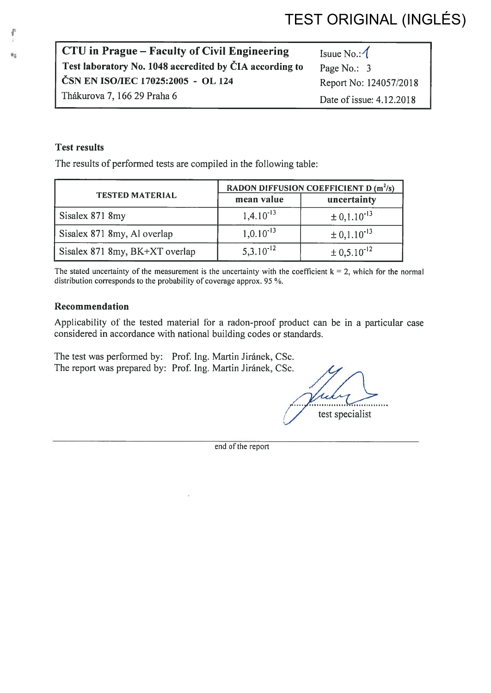# TEST ORIGINAL (INGLÉS)

| CTU in Prague – Faculty of Civil Engineering            | Isuue No.: $\sqrt{\ }$   |
|---------------------------------------------------------|--------------------------|
| Test laboratory No. 1048 accredited by CIA according to | Page No.: 3              |
| ČSN EN ISO/IEC 17025:2005 - OL 124                      | Report No: 124057/2018   |
| Thákurova 7, 166 29 Praha 6                             | Date of issue: 4.12.2018 |

### Test resuits

The results of performed tests are compiled in the following table:

| <b>TESTED MATERIAL</b>         | RADON DIFFUSION COEFFICIENT D (m <sup>2</sup> /s) |                             |
|--------------------------------|---------------------------------------------------|-----------------------------|
|                                | mean value                                        | uncertainty                 |
| Sisalex 871 8my                | $1,4.10^{-13}$                                    | $\pm 0.1.10^{-13}$          |
| Sisalex 871 8my, Al overlap    | $1,0.10^{-13}$                                    | $\pm 0.1.10^{-13}$          |
| Sisalex 871 8my, BK+XT overlap | $5,3.10^{-12}$                                    | $\pm$ 0,5.10 <sup>-12</sup> |

The stated uncertainty of the measurement is the uncertainty with the coefficient  $k = 2$ , which for the normal distribution corresponds to the probability of coverage approx. 95 %.

#### Recommendation

Applicability of the tested material for a radon-proof product can be in a particular case considered in accordance with national building codes or standards.

The test was performed by: Prof. Ing. Martin Jiránek, CSc. The report was prepared by: Prof. Ing. Martin Jiránek, CSc.

1 . test specialist

end of the report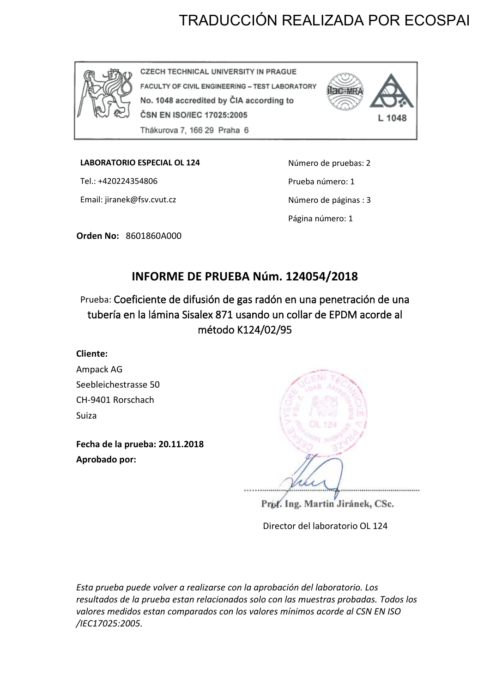# TRADUCCIÓN REALIZADA POR ECOSPAI



**CZECH TECHNICAL UNIVERSITY IN PRAGUE** FACULTY OF CIVIL ENGINEERING - TEST LABORATORY No. 1048 accredited by CIA according to ČSN EN ISO/IEC 17025:2005 Thákurova 7, 166 29 Praha 6



**LABORATORIO ESPECIAL OL 124**

Tel.: +420224354806 Email: jiranek@fsv.cvut.cz Número de pruebas: 2 Prueba número: 1 Número de páginas : 3 Página número: 1

**Orden No:** 8601860A000

## **INFORME DE PRUEBA Núm. 124054/2018**

Prueba: Coeficiente de difusión de gas radón en una penetración de una tubería en la lámina Sisalex 871 usando un collar de EPDM acorde al método K124/02/95

## **Cliente:**

Ampack AG Seebleichestrasse 50 CH-9401 Rorschach Suiza

**Fecha de la prueba: 20.11.2018 Aprobado por:**



Prof. Ing. Martin Jiránek, CSc.

Director del laboratorio OL 124

*Esta prueba puede volver a realizarse con la aprobación del laboratorio. Los resultados de la prueba estan relacionados solo con las muestras probadas. Todos los valores medidos estan comparados con los valores mínimos acorde al CSN EN ISO /IEC17025:2005.*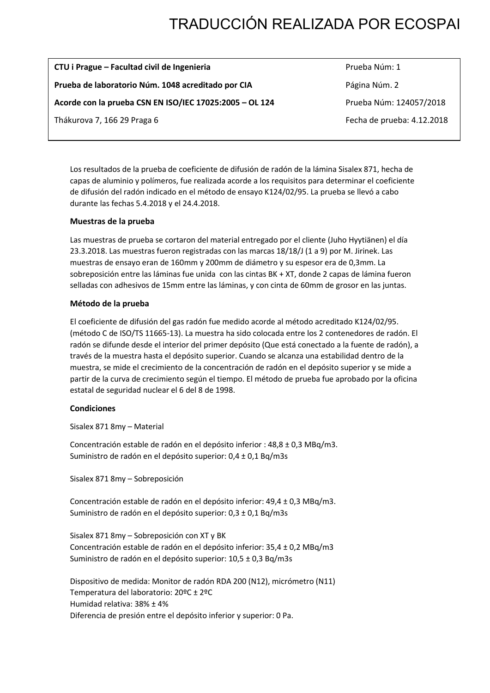# TRADUCCIÓN REALIZADA POR ECOSPAI

| CTU i Prague - Facultad civil de Ingenieria             | Prueba Núm: 1              |
|---------------------------------------------------------|----------------------------|
| Prueba de laboratorio Núm. 1048 acreditado por CIA      | Página Núm. 2              |
| Acorde con la prueba CSN EN ISO/IEC 17025:2005 - OL 124 | Prueba Núm: 124057/2018    |
| Thákurova 7, 166 29 Praga 6                             | Fecha de prueba: 4.12.2018 |

Los resultados de la prueba de coeficiente de difusión de radón de la lámina Sisalex 871, hecha de capas de aluminio y polímeros, fue realizada acorde a los requisitos para determinar el coeficiente de difusión del radón indicado en el método de ensayo K124/02/95. La prueba se llevó a cabo durante las fechas 5.4.2018 y el 24.4.2018.

#### **Muestras de la prueba**

Las muestras de prueba se cortaron del material entregado por el cliente (Juho Hyytiänen) el día 23.3.2018. Las muestras fueron registradas con las marcas 18/18/J (1 a 9) por M. Jirinek. Las muestras de ensayo eran de 160mm y 200mm de diámetro y su espesor era de 0,3mm. La sobreposición entre las láminas fue unida con las cintas BK + XT, donde 2 capas de lámina fueron selladas con adhesivos de 15mm entre las láminas, y con cinta de 60mm de grosor en las juntas.

#### **Método de la prueba**

El coeficiente de difusión del gas radón fue medido acorde al método acreditado K124/02/95. (método C de ISO/TS 11665-13). La muestra ha sido colocada entre los 2 contenedores de radón. El radón se difunde desde el interior del primer depósito (Que está conectado a la fuente de radón), a través de la muestra hasta el depósito superior. Cuando se alcanza una estabilidad dentro de la muestra, se mide el crecimiento de la concentración de radón en el depósito superior y se mide a partir de la curva de crecimiento según el tiempo. El método de prueba fue aprobado por la oficina estatal de seguridad nuclear el 6 del 8 de 1998.

#### **Condiciones**

Sisalex 871 8my – Material

Concentración estable de radón en el depósito inferior : 48,8 ± 0,3 MBq/m3. Suministro de radón en el depósito superior: 0,4 ± 0,1 Bq/m3s

Sisalex 871 8my – Sobreposición

Concentración estable de radón en el depósito inferior: 49,4 ± 0,3 MBq/m3. Suministro de radón en el depósito superior: 0,3 ± 0,1 Bq/m3s

Sisalex 871 8my – Sobreposición con XT y BK Concentración estable de radón en el depósito inferior: 35,4 ± 0,2 MBq/m3 Suministro de radón en el depósito superior: 10,5 ± 0,3 Bq/m3s

Dispositivo de medida: Monitor de radón RDA 200 (N12), micrómetro (N11) Temperatura del laboratorio: 20ºC ± 2ºC Humidad relativa: 38% ± 4% Diferencia de presión entre el depósito inferior y superior: 0 Pa.